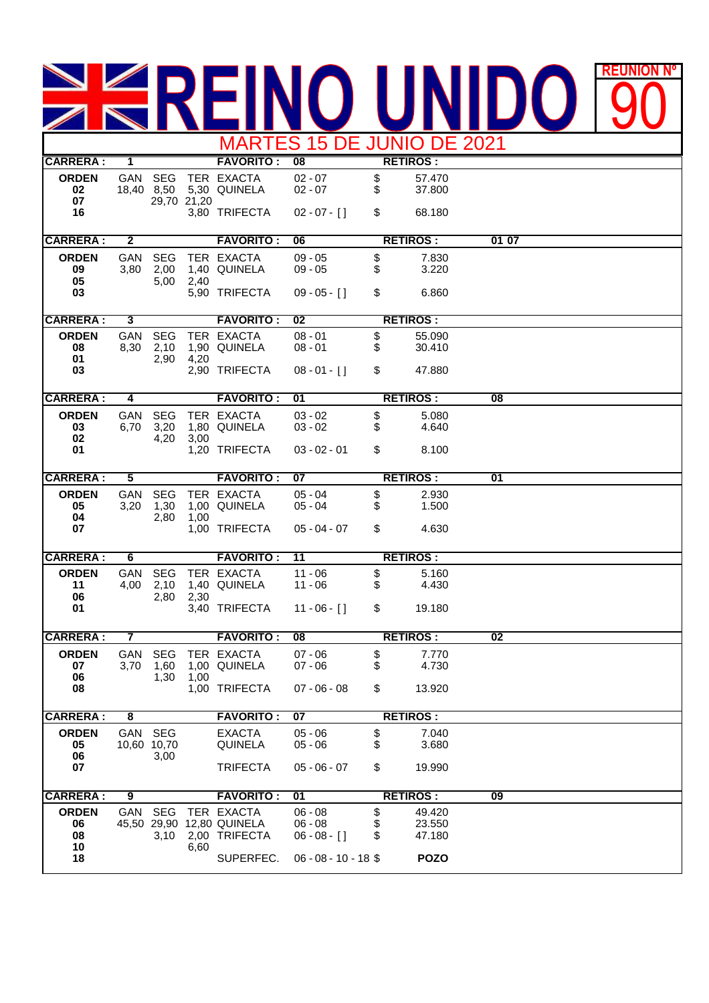## **REUNION REUNIÓN Nº** 90 MARTES 15 DE JUNIO DE 2021

|                    |                         |                    |             |                            | <b>MANILO TO DE JONTO DE 2021</b> |          |                  |                 |  |
|--------------------|-------------------------|--------------------|-------------|----------------------------|-----------------------------------|----------|------------------|-----------------|--|
| <b>CARRERA:</b>    | $\mathbf{1}$            |                    |             | <b>FAVORITO:</b>           | 08                                |          | <b>RETIROS:</b>  |                 |  |
| <b>ORDEN</b><br>02 | GAN<br>18,40 8,50       | <b>SEG</b>         |             | TER EXACTA<br>5,30 QUINELA | $02 - 07$<br>$02 - 07$            | \$<br>\$ | 57.470<br>37.800 |                 |  |
| 07                 |                         |                    | 29,70 21,20 |                            |                                   |          |                  |                 |  |
| 16                 |                         |                    |             | 3,80 TRIFECTA              | $02 - 07 - [$                     | \$       | 68.180           |                 |  |
| <b>CARRERA:</b>    | $\overline{\mathbf{2}}$ |                    |             | <b>FAVORITO:</b>           | 06                                |          | <b>RETIROS:</b>  | 01 07           |  |
| <b>ORDEN</b>       | GAN                     | <b>SEG</b>         |             | TER EXACTA                 | $09 - 05$                         | \$       | 7.830            |                 |  |
| 09<br>05           | 3,80                    | 2,00<br>5,00       | 2,40        | 1,40 QUINELA               | $09 - 05$                         | \$       | 3.220            |                 |  |
| 03                 |                         |                    |             | 5,90 TRIFECTA              | $09 - 05 - [$ ]                   | \$       | 6.860            |                 |  |
| <b>CARRERA:</b>    | 3                       |                    |             | <b>FAVORITO:</b>           | $\overline{02}$                   |          | <b>RETIROS:</b>  |                 |  |
| <b>ORDEN</b>       | GAN                     | <b>SEG</b>         |             | TER EXACTA                 | $08 - 01$                         | \$       | 55.090           |                 |  |
| 08                 | 8,30                    | 2,10               |             | 1,90 QUINELA               | $08 - 01$                         | \$       | 30.410           |                 |  |
| 01<br>03           |                         | 2,90               | 4,20        | 2,90 TRIFECTA              | $08 - 01 - []$                    | \$       | 47.880           |                 |  |
|                    |                         |                    |             |                            |                                   |          |                  |                 |  |
| <b>CARRERA:</b>    | 4                       |                    |             | <b>FAVORITO:</b>           | $\overline{01}$                   |          | <b>RETIROS:</b>  | $\overline{08}$ |  |
| <b>ORDEN</b><br>03 | GAN<br>6,70             | <b>SEG</b><br>3,20 |             | TER EXACTA<br>1,80 QUINELA | $03 - 02$<br>$03 - 02$            | \$<br>\$ | 5.080<br>4.640   |                 |  |
| 02                 |                         | 4,20               | 3,00        |                            |                                   |          |                  |                 |  |
| 01                 |                         |                    |             | 1,20 TRIFECTA              | $03 - 02 - 01$                    | \$       | 8.100            |                 |  |
|                    |                         |                    |             |                            |                                   |          | <b>RETIROS:</b>  |                 |  |
| <b>CARRERA:</b>    | 5                       |                    |             | <b>FAVORITO:</b>           | $\overline{07}$                   |          |                  | 01              |  |
| <b>ORDEN</b><br>05 | GAN<br>3,20             | <b>SEG</b><br>1,30 |             | TER EXACTA<br>1,00 QUINELA | $05 - 04$<br>$05 - 04$            | \$<br>\$ | 2.930<br>1.500   |                 |  |
| 04                 |                         | 2,80               | 1,00        |                            |                                   |          |                  |                 |  |
| 07                 |                         |                    |             | 1,00 TRIFECTA              | $05 - 04 - 07$                    | \$       | 4.630            |                 |  |
| <b>CARRERA:</b>    | 6                       |                    |             | <b>FAVORITO:</b>           | $\overline{11}$                   |          | <b>RETIROS:</b>  |                 |  |
| <b>ORDEN</b>       | GAN                     | <b>SEG</b>         |             | TER EXACTA                 | $11 - 06$                         | \$       | 5.160            |                 |  |
| 11                 | 4,00                    | 2,10               |             | 1,40 QUINELA               | $11 - 06$                         | \$       | 4.430            |                 |  |
| 06                 |                         | 2,80               | 2,30        |                            |                                   |          |                  |                 |  |
| 01                 |                         |                    |             | 3,40 TRIFECTA              | $11 - 06 - []$                    | \$       | 19.180           |                 |  |
| <b>CARRERA:</b>    | $\overline{7}$          |                    |             | <b>FAVORITO:</b>           | 08                                |          | <b>RETIROS:</b>  | $\overline{02}$ |  |
|                    |                         |                    |             |                            | $07 - 06$                         |          |                  |                 |  |
| <b>ORDEN</b><br>07 | GAN<br>3,70             | <b>SEG</b><br>1,60 |             | TER EXACTA<br>1,00 QUINELA | $07 - 06$                         | \$<br>\$ | 7.770<br>4.730   |                 |  |
| 06                 |                         |                    | 1,30 1,00   |                            |                                   |          |                  |                 |  |
| 08                 |                         |                    |             | 1,00 TRIFECTA              | $07 - 06 - 08$                    | \$       | 13.920           |                 |  |
| <b>CARRERA:</b>    | ø                       |                    |             | <b>FAVORITO:</b>           | 07                                |          | <b>RETIROS:</b>  |                 |  |
| <b>ORDEN</b>       | GAN                     | <b>SEG</b>         |             | <b>EXACTA</b>              | $05 - 06$                         | \$       | 7.040            |                 |  |
| 05                 |                         | 10,60 10,70        |             | <b>QUINELA</b>             | $05 - 06$                         | \$       | 3.680            |                 |  |
| 06                 |                         | 3,00               |             |                            |                                   |          |                  |                 |  |
| 07                 |                         |                    |             | <b>TRIFECTA</b>            | $05 - 06 - 07$                    | \$       | 19.990           |                 |  |
| <b>CARRERA:</b>    | 9                       |                    |             | <b>FAVORITO:</b>           | 01                                |          | <b>RETIROS:</b>  | 09              |  |
| <b>ORDEN</b>       | GAN                     | <b>SEG</b>         |             | TER EXACTA                 | $06 - 08$                         | \$       | 49.420           |                 |  |
| 06                 |                         |                    |             | 45,50 29,90 12,80 QUINELA  | $06 - 08$                         | \$       | 23.550           |                 |  |
| 08                 |                         | 3,10               |             | 2,00 TRIFECTA              | $06 - 08 - 1$                     | \$       | 47.180           |                 |  |
| 10<br>18           |                         |                    | 6,60        | SUPERFEC.                  | $06 - 08 - 10 - 18$               |          | <b>POZO</b>      |                 |  |